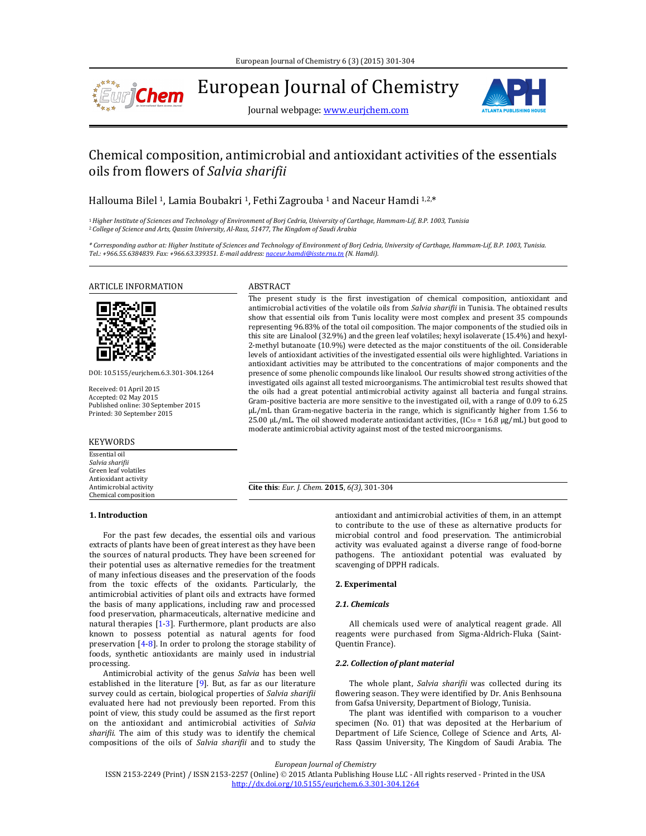

European Journal of Chemistry

Journal webpage: **www.eurjchem.com** 



# Chemical composition, antimicrobial and antioxidant activities of the essentials oils from flowers of *Salvia sharifii*

Hallouma Bilel <sup>1</sup>, Lamia Boubakri <sup>1</sup>, Fethi Zagrouba <sup>1</sup> and Naceur Hamdi <sup>1,2,\*</sup>

<sup>1</sup> Higher Institute of Sciences and Technology of Environment of Borj Cedria, University of Carthage, Hammam-Lif, B.P. 1003, Tunisia <sup>2</sup>*College of Science and Arts, Qassim University, Al‐Rass, 51477, The Kingdom of Saudi Arabia*

\* Corresponding author at: Higher Institute of Sciences and Technology of Environment of Borj Cedria, University of Carthage, Hammam-Lif, B.P. 1003, Tunisia. *Tel.: +966.55.6384839. Fax: +966.63.339351. E‐mail address: naceur.hamdi@isste.rnu.tn (N. Hamdi).*

ARTICLE INFORMATION ABSTRACT



DOI: 10.5155/eurjchem.6.3.301‐304.1264 

Received: 01 April 2015 Accepted: 02 May 2015 Published online: 30 September 2015 Printed: 30 September 2015

#### KEYWORDS

Essential oil *Salvia sharifii* Green leaf volatiles Antioxidant activity Antimicrobial activity Chemical composition 

The present study is the first investigation of chemical composition, antioxidant and antimicrobial activities of the volatile oils from *Salvia sharifii* in Tunisia. The obtained results show that essential oils from Tunis locality were most complex and present 35 compounds representing 96.83% of the total oil composition. The major components of the studied oils in this site are Linalool (32.9%) and the green leaf volatiles; hexyl isolaverate (15.4%) and hexyl-2-methyl butanoate (10.9%) were detected as the major constituents of the oil. Considerable levels of antioxidant activities of the investigated essential oils were highlighted. Variations in antioxidant activities may be attributed to the concentrations of major components and the presence of some phenolic compounds like linalool. Our results showed strong activities of the investigated oils against all tested microorganisms. The antimicrobial test results showed that the oils had a great potential antimicrobial activity against all bacteria and fungal strains. Gram-positive bacteria are more sensitive to the investigated oil, with a range of 0.09 to 6.25 µL/mL than Gram-negative bacteria in the range, which is significantly higher from 1.56 to 25.00  $\mu$ L/mL. The oil showed moderate antioxidant activities, (IC<sub>50</sub> = 16.8  $\mu$ g/mL) but good to moderate antimicrobial activity against most of the tested microorganisms.

**Cite this**: *Eur. J. Chem.* **2015**, *6(3)*, 301‐304

## **1. Introduction**

For the past few decades, the essential oils and various extracts of plants have been of great interest as they have been the sources of natural products. They have been screened for their potential uses as alternative remedies for the treatment of many infectious diseases and the preservation of the foods from the toxic effects of the oxidants. Particularly, the antimicrobial activities of plant oils and extracts have formed the basis of many applications, including raw and processed food preservation, pharmaceuticals, alternative medicine and natural therapies  $[1-3]$ . Furthermore, plant products are also known to possess potential as natural agents for food preservation  $[4-8]$ . In order to prolong the storage stability of foods, synthetic antioxidants are mainly used in industrial processing. 

Antimicrobial activity of the genus *Salvia* has been well established in the literature  $[9]$ . But, as far as our literature survey could as certain, biological properties of *Salvia sharifii* evaluated here had not previously been reported. From this point of view, this study could be assumed as the first report on the antioxidant and antimicrobial activities of *Salvia* sharifii. The aim of this study was to identify the chemical compositions of the oils of *Salvia sharifii* and to study the

antioxidant and antimicrobial activities of them, in an attempt to contribute to the use of these as alternative products for microbial control and food preservation. The antimicrobial activity was evaluated against a diverse range of food-borne pathogens. The antioxidant potential was evaluated by scavenging of DPPH radicals.

## **2. Experimental**

## *2.1. Chemicals*

All chemicals used were of analytical reagent grade. All reagents were purchased from Sigma-Aldrich-Fluka (Saint-Quentin France).

## *2.2. Collection of plant material*

The whole plant, *Salvia sharifii* was collected during its flowering season. They were identified by Dr. Anis Benhsouna from Gafsa University, Department of Biology, Tunisia.

The plant was identified with comparison to a voucher specimen (No. 01) that was deposited at the Herbarium of Department of Life Science, College of Science and Arts, Al-Rass Qassim University, The Kingdom of Saudi Arabia. The

*European Journal of Chemistry*

ISSN 2153-2249 (Print) / ISSN 2153-2257 (Online) © 2015 Atlanta Publishing House LLC - All rights reserved - Printed in the USA http://dx.doi.org/10.5155/eurjchem.6.3.301‐304.1264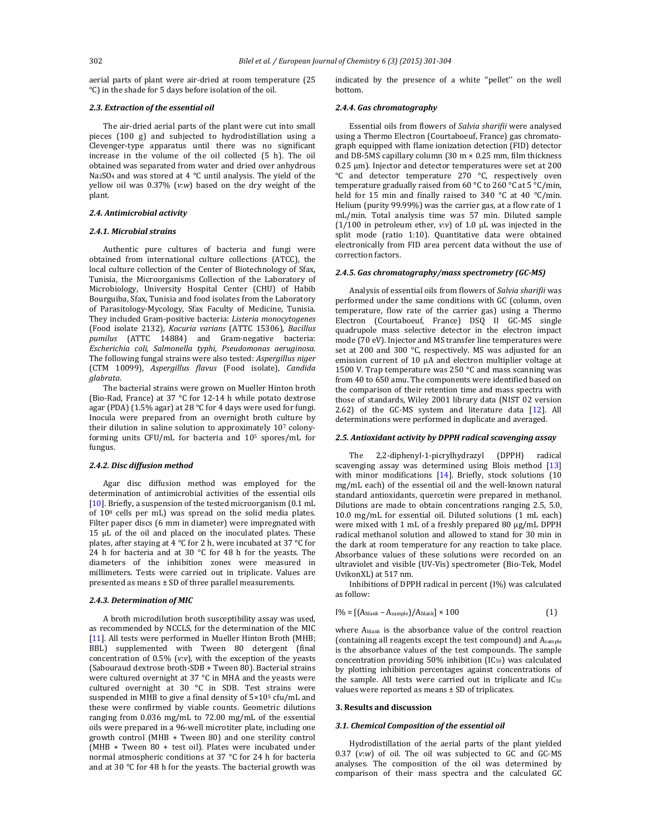aerial parts of plant were air-dried at room temperature (25 °C) in the shade for 5 days before isolation of the oil.

#### *2.3. Extraction of the essential oil*

The air-dried aerial parts of the plant were cut into small pieces (100 g) and subjected to hydrodistillation using a Clevenger-type apparatus until there was no significant increase in the volume of the oil collected (5 h). The oil obtained was separated from water and dried over anhydrous Na<sub>2</sub>SO<sub>4</sub> and was stored at 4  $\degree$ C until analysis. The yield of the yellow oil was 0.37% (v:w) based on the dry weight of the plant. 

## *2.4. Antimicrobial activity*

## *2.4.1. Microbial strains*

Authentic pure cultures of bacteria and fungi were obtained from international culture collections (ATCC), the local culture collection of the Center of Biotechnology of Sfax, Tunisia, the Microorganisms Collection of the Laboratory of Microbiology, University Hospital Center (CHU) of Habib Bourguiba, Sfax, Tunisia and food isolates from the Laboratory of Parasitology-Mycology, Sfax Faculty of Medicine, Tunisia. They included Gram-positive bacteria: *Listeria monocytogenes* (Food isolate 2132), *Kocuria varians* (ATTC 15306), *Bacillus* pumilus (ATTC 14884) and Gram-negative bacteria: *Escherichia coli, Salmonella typhi*, *Pseudomonas aeruginosa*. The following fungal strains were also tested: Aspergillus niger (CTM 10099), *Aspergillus flavus* (Food isolate), *Candida glabrata*. 

The bacterial strains were grown on Mueller Hinton broth (Bio-Rad, France) at 37  $\degree$ C for 12-14 h while potato dextrose agar (PDA) (1.5% agar) at 28 °C for 4 days were used for fungi. Inocula were prepared from an overnight broth culture by their dilution in saline solution to approximately  $10<sup>7</sup>$  colonyforming units CFU/mL for bacteria and 10<sup>5</sup> spores/mL for fungus. 

#### *2.4.2. Disc diffusion method*

Agar disc diffusion method was employed for the determination of antimicrobial activities of the essential oils [10]. Briefly, a suspension of the tested microorganism (0.1 mL of  $10^8$  cells per mL) was spread on the solid media plates. Filter paper discs (6 mm in diameter) were impregnated with 15 μL of the oil and placed on the inoculated plates. These plates, after staying at 4 °C for 2 h, were incubated at 37 °C for 24 h for bacteria and at 30  $^{\circ}$ C for 48 h for the yeasts. The diameters of the inhibition zones were measured in millimeters. Tests were carried out in triplicate. Values are presented as means  $\pm$  SD of three parallel measurements.

#### *2.4.3. Determination of MIC*

A broth microdilution broth susceptibility assay was used, as recommended by NCCLS, for the determination of the MIC [11]. All tests were performed in Mueller Hinton Broth (MHB; BBL) supplemented with Tween 80 detergent (final concentration of  $0.5\%$  (*v*:*v*), with the exception of the yeasts (Sabouraud dextrose broth-SDB + Tween 80). Bacterial strains were cultured overnight at 37  $^{\circ}$ C in MHA and the yeasts were cultured overnight at 30 °C in SDB. Test strains were suspended in MHB to give a final density of  $5\times10^5$  cfu/mL and these were confirmed by viable counts. Geometric dilutions ranging from  $0.036$  mg/mL to  $72.00$  mg/mL of the essential oils were prepared in a 96-well microtiter plate, including one growth control (MHB + Tween 80) and one sterility control  $(MHB + Twoen 80 + test oil)$ . Plates were incubated under normal atmospheric conditions at 37  $\degree$ C for 24 h for bacteria and at 30  $\degree$ C for 48 h for the yeasts. The bacterial growth was

indicated by the presence of a white "pellet" on the well bottom. 

#### *2.4.4. Gas chromatography*

Essential oils from flowers of *Salvia sharifii* were analysed using a Thermo Electron (Courtaboeuf, France) gas chromatograph equipped with flame ionization detection (FID) detector and DB-5MS capillary column  $(30 \text{ m} \times 0.25 \text{ mm})$ , film thickness  $0.25 \mu m$ ). Injector and detector temperatures were set at 200 °C and detector temperature 270 °C, respectively oven temperature gradually raised from 60 °C to 260 °C at 5 °C/min, held for 15 min and finally raised to 340  $\degree$ C at 40  $\degree$ C/min. Helium (purity  $99.99\%$ ) was the carrier gas, at a flow rate of 1 mL/min. Total analysis time was 57 min. Diluted sample  $(1/100$  in petroleum ether,  $v: v$ ) of 1.0  $\mu$ L was injected in the split mode (ratio 1:10). Quantitative data were obtained electronically from FID area percent data without the use of correction factors.

## *2.4.5. Gas chromatography/mass spectrometry (GC‐MS)*

Analysis of essential oils from flowers of *Salvia sharifii* was performed under the same conditions with GC (column, oven temperature, flow rate of the carrier gas) using a Thermo Electron (Courtaboeuf, France) DSQ II GC-MS single quadrupole mass selective detector in the electron impact mode (70 eV). Injector and MS transfer line temperatures were set at  $200$  and  $300$  °C, respectively. MS was adjusted for an emission current of 10 µA and electron multiplier voltage at 1500 V. Trap temperature was 250  $^{\circ}$ C and mass scanning was from 40 to 650 amu. The components were identified based on the comparison of their retention time and mass spectra with those of standards, Wiley 2001 library data (NIST 02 version 2.62) of the GC-MS system and literature data  $[12]$ . All determinations were performed in duplicate and averaged.

#### *2.5. Antioxidant activity by DPPH radical scavenging assay*

The 2,2-diphenyl-1-picrylhydrazyl (DPPH) radical scavenging assay was determined using Blois method [13] with minor modifications  $[14]$ . Briefly, stock solutions  $[10]$ mg/mL each) of the essential oil and the well-known natural standard antioxidants, quercetin were prepared in methanol. Dilutions are made to obtain concentrations ranging 2.5, 5.0, 10.0 mg/mL for essential oil. Diluted solutions (1 mL each) were mixed with 1 mL of a freshly prepared 80 µg/mL DPPH radical methanol solution and allowed to stand for 30 min in the dark at room temperature for any reaction to take place. Absorbance values of these solutions were recorded on an ultraviolet and visible (UV-Vis) spectrometer (Bio-Tek, Model UvikonXL) at 517 nm.

Inhibitions of DPPH radical in percent (I%) was calculated as follow:

$$
I\% = \left[ (A_{\text{blank}} - A_{\text{sample}}) / A_{\text{blank}} \right] \times 100 \tag{1}
$$

where  $A<sub>blank</sub>$  is the absorbance value of the control reaction (containing all reagents except the test compound) and Asample is the absorbance values of the test compounds. The sample concentration providing  $50\%$  inhibition (IC<sub>50</sub>) was calculated by plotting inhibition percentages against concentrations of the sample. All tests were carried out in triplicate and  $IC_{50}$ values were reported as means  $\pm$  SD of triplicates.

### **3. Results and discussion**

#### *3.1. Chemical Composition of the essential oil*

Hydrodistillation of the aerial parts of the plant yielded 0.37 (v:w) of oil. The oil was subjected to GC and GC-MS analyses. The composition of the oil was determined by comparison of their mass spectra and the calculated GC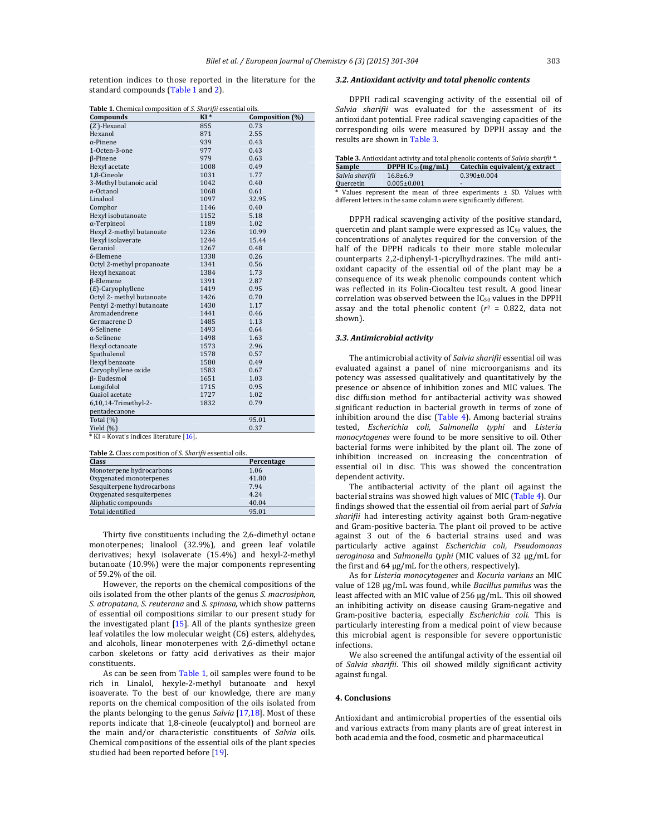retention indices to those reported in the literature for the standard compounds (Table 1 and 2).

|  |  | Table 1. Chemical composition of S. Sharifii essential oils. |  |
|--|--|--------------------------------------------------------------|--|

| <b>rapic 1.</b> Chemical composition of <i>5. Shariful</i> essential ons. |      |                 |  |  |
|---------------------------------------------------------------------------|------|-----------------|--|--|
| Compounds                                                                 | KI*  | Composition (%) |  |  |
| (Z)-Hexanal                                                               | 855  | 0.73            |  |  |
| Hexanol                                                                   | 871  | 2.55            |  |  |
| $\alpha$ -Pinene                                                          | 939  | 0.43            |  |  |
| 1-Octen-3-one                                                             | 977  | 0.43            |  |  |
| <b>B-Pinene</b>                                                           | 979  | 0.63            |  |  |
| Hexyl acetate                                                             | 1008 | 0.49            |  |  |
| 1,8-Cineole                                                               | 1031 | 1.77            |  |  |
| 3-Methyl butanoic acid                                                    | 1042 | 0.40            |  |  |
| n-Octanol                                                                 | 1068 | 0.61            |  |  |
| Linalool                                                                  | 1097 | 32.95           |  |  |
| Comphor                                                                   | 1146 | 0.40            |  |  |
| Hexyl isobutanoate                                                        | 1152 | 5.18            |  |  |
| $\alpha$ -Terpineol                                                       | 1189 | 1.02            |  |  |
| Hexyl 2-methyl butanoate                                                  | 1236 | 10.99           |  |  |
| Hexyl isolaverate                                                         | 1244 | 15.44           |  |  |
| Geraniol                                                                  | 1267 | 0.48            |  |  |
| $\delta$ -Elemene                                                         | 1338 | 0.26            |  |  |
| Octyl 2-methyl propanoate                                                 | 1341 | 0.56            |  |  |
| Hexyl hexanoat                                                            | 1384 | 1.73            |  |  |
| <b>ß-Elemene</b>                                                          | 1391 | 2.87            |  |  |
| $(E)$ -Caryophyllene                                                      | 1419 | 0.95            |  |  |
| Octyl 2- methyl butanoate                                                 | 1426 | 0.70            |  |  |
| Pentyl 2-methyl butanoate                                                 | 1430 | 1.17            |  |  |
| Aromadendrene                                                             | 1441 | 0.46            |  |  |
| Germacrene D                                                              | 1485 | 1.13            |  |  |
| δ-Selinene                                                                | 1493 | 0.64            |  |  |
| $\alpha$ -Selinene                                                        | 1498 | 1.63            |  |  |
| Hexyl octanoate                                                           | 1573 | 2.96            |  |  |
| Spathulenol                                                               | 1578 | 0.57            |  |  |
| Hexyl benzoate                                                            | 1580 | 0.49            |  |  |
| Caryophyllene oxide                                                       | 1583 | 0.67            |  |  |
| <b>B-Eudesmol</b>                                                         | 1651 | 1.03            |  |  |
| Longifolol                                                                | 1715 | 0.95            |  |  |
| Guaiol acetate                                                            | 1727 | 1.02            |  |  |
| 6,10,14-Trimethyl-2-                                                      | 1832 | 0.79            |  |  |
| pentadecanone                                                             |      |                 |  |  |
| Total (%)                                                                 |      | 95.01           |  |  |
| Yield (%)                                                                 |      | 0.37            |  |  |
| * KI = Kovat's indices literature [16]                                    |      |                 |  |  |

 $KI = Kovat's indices literature [16].$ 

**Table 2.** Class composition of *S. Sharifii* essential oils.

| <b>Class</b>               | Percentage |
|----------------------------|------------|
| Monoterpene hydrocarbons   | 1.06       |
| Oxygenated monoterpenes    | 41.80      |
| Sesquiterpene hydrocarbons | 7.94       |
| Oxygenated sesquiterpenes  | 4.24       |
| Aliphatic compounds        | 40.04      |
| Total identified           | 95.01      |

Thirty five constituents including the 2,6-dimethyl octane monoterpenes; linalool (32.9%), and green leaf volatile derivatives; hexyl isolaverate (15.4%) and hexyl-2-methyl butanoate (10.9%) were the major components representing of 59.2% of the oil.

However, the reports on the chemical compositions of the oils isolated from the other plants of the genus *S. macrosiphon*, *S. atropatana*, *S. reuterana* and *S. spinosa*, which show patterns of essential oil compositions similar to our present study for the investigated plant  $[15]$ . All of the plants synthesize green leaf volatiles the low molecular weight (C6) esters, aldehydes, and alcohols, linear monoterpenes with 2,6-dimethyl octane carbon skeletons or fatty acid derivatives as their major constituents. 

As can be seen from Table 1, oil samples were found to be rich in Linalol, hexyle-2-methyl butanoate and hexyl isoaverate. To the best of our knowledge, there are many reports on the chemical composition of the oils isolated from the plants belonging to the genus *Salvia* [17,18]. Most of these reports indicate that 1,8-cineole (eucalyptol) and borneol are the main and/or characteristic constituents of *Salvia* oils. Chemical compositions of the essential oils of the plant species studied had been reported before [19].

## *3.2. Antioxidant activity and total phenolic contents*

DPPH radical scavenging activity of the essential oil of *Salvia sharifii* was evaluated for the assessment of its antioxidant potential. Free radical scavenging capacities of the corresponding oils were measured by DPPH assay and the results are shown in Table 3.

| <b>Table 3.</b> Antioxidant activity and total phenolic contents of Salvia sharifii <sup>*</sup> . |                        |                                                                         |  |  |
|----------------------------------------------------------------------------------------------------|------------------------|-------------------------------------------------------------------------|--|--|
| Sample                                                                                             | DPPH $IC_{50}$ (mg/mL) | Catechin equivalent/g extract                                           |  |  |
| Salvia sharifii                                                                                    | $16.8 \pm 6.9$         | $0.390 \pm 0.004$                                                       |  |  |
| Quercetin                                                                                          | $0.005 \pm 0.001$      | $\overline{\phantom{0}}$                                                |  |  |
|                                                                                                    |                        | * Values associated the access of those concentrations of CD Values and |  |  |

Values represent the mean of three experiments  $\pm$  SD. Values with different letters in the same column were significantly different.

DPPH radical scavenging activity of the positive standard, quercetin and plant sample were expressed as  $IC_{50}$  values, the concentrations of analytes required for the conversion of the half of the DPPH radicals to their more stable molecular counterparts 2,2-diphenyl-1-picrylhydrazines. The mild antioxidant capacity of the essential oil of the plant may be a consequence of its weak phenolic compounds content which was reflected in its Folin-Ciocalteu test result. A good linear correlation was observed between the  $IC_{50}$  values in the DPPH assay and the total phenolic content  $(r^2 = 0.822)$ , data not shown). 

#### *3.3. Antimicrobial activity*

The antimicrobial activity of *Salvia sharifii* essential oil was evaluated against a panel of nine microorganisms and its potency was assessed qualitatively and quantitatively by the presence or absence of inhibition zones and MIC values. The disc diffusion method for antibacterial activity was showed significant reduction in bacterial growth in terms of zone of inhibition around the disc  $(Table 4)$ . Among bacterial strains tested, *Escherichia coli*, *Salmonella typhi* and *Listeria monocytogenes* were found to be more sensitive to oil. Other bacterial forms were inhibited by the plant oil. The zone of inhibition increased on increasing the concentration of essential oil in disc. This was showed the concentration dependent activity.

The antibacterial activity of the plant oil against the bacterial strains was showed high values of MIC (Table 4). Our findings showed that the essential oil from aerial part of *Salvia* sharifii had interesting activity against both Gram-negative and Gram-positive bacteria. The plant oil proved to be active against 3 out of the 6 bacterial strains used and was particularly active against *Escherichia coli*, *Pseudomonas aeroginosa* and *Salmonella typhi* (MIC values of 32 µg/mL for the first and  $64 \mu g/mL$  for the others, respectively).

As for *Listeria monocytogenes* and *Kocuria varians* an MIC value of 128 µg/mL was found, while *Bacillus pumilus* was the least affected with an MIC value of  $256 \mu g/mL$ . This oil showed an inhibiting activity on disease causing Gram-negative and Gram‐positive bacteria, especially *Escherichia coli*. This is particularly interesting from a medical point of view because this microbial agent is responsible for severe opportunistic infections. 

We also screened the antifungal activity of the essential oil of *Salvia sharifii*. This oil showed mildly significant activity against fungal.

#### **4. Conclusions**

Antioxidant and antimicrobial properties of the essential oils and various extracts from many plants are of great interest in both academia and the food, cosmetic and pharmaceutical